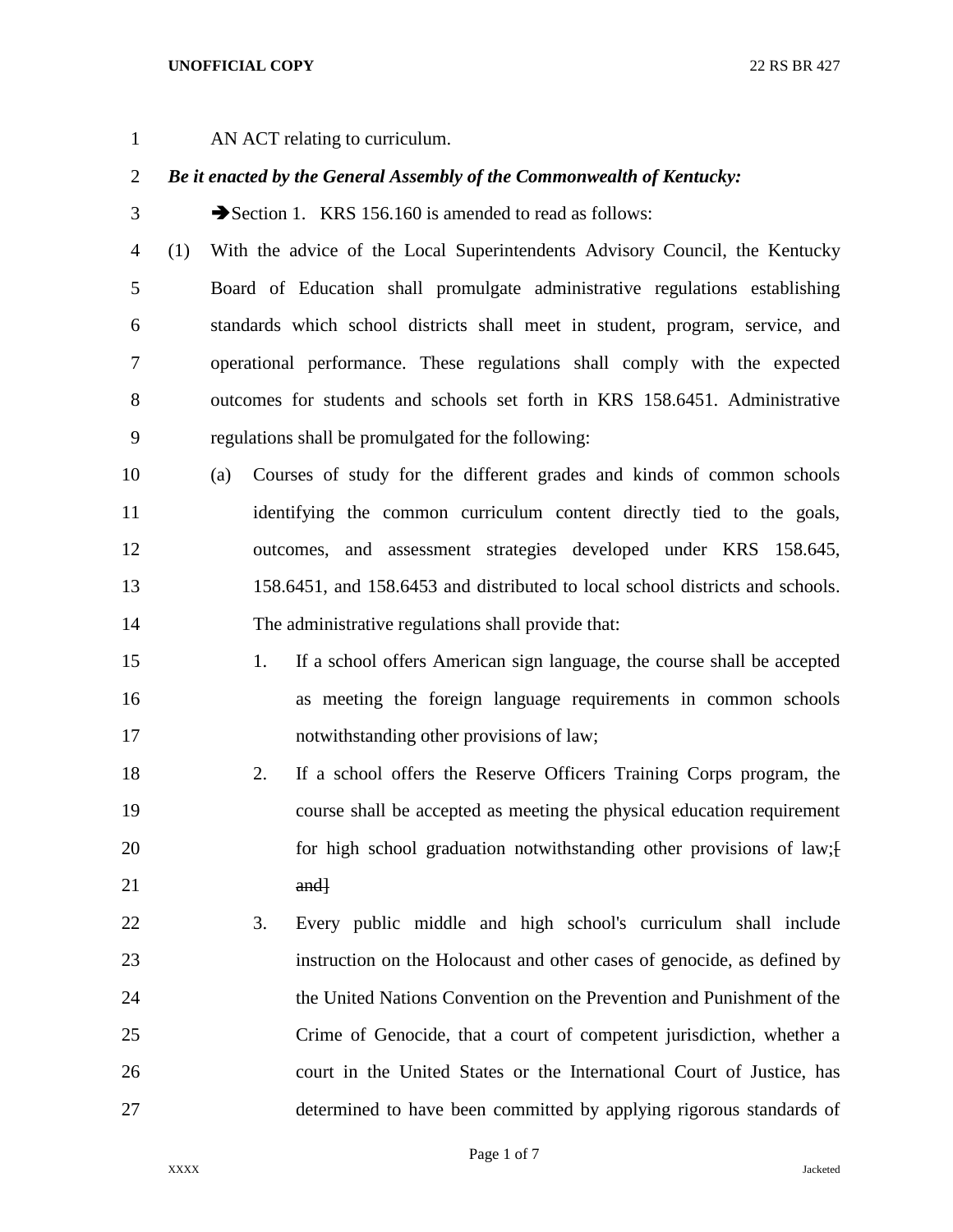## **UNOFFICIAL COPY** 22 RS BR 427

AN ACT relating to curriculum.

## *Be it enacted by the General Assembly of the Commonwealth of Kentucky:*

- 3 Section 1. KRS 156.160 is amended to read as follows:
- (1) With the advice of the Local Superintendents Advisory Council, the Kentucky Board of Education shall promulgate administrative regulations establishing standards which school districts shall meet in student, program, service, and operational performance. These regulations shall comply with the expected outcomes for students and schools set forth in KRS 158.6451. Administrative regulations shall be promulgated for the following:
- (a) Courses of study for the different grades and kinds of common schools 11 identifying the common curriculum content directly tied to the goals, outcomes, and assessment strategies developed under KRS 158.645, 158.6451, and 158.6453 and distributed to local school districts and schools. The administrative regulations shall provide that:
- 1. If a school offers American sign language, the course shall be accepted as meeting the foreign language requirements in common schools notwithstanding other provisions of law;
- 2. If a school offers the Reserve Officers Training Corps program, the course shall be accepted as meeting the physical education requirement 20 for high school graduation notwithstanding other provisions of law; [20] and  $\frac{1}{2}$
- 3. Every public middle and high school's curriculum shall include instruction on the Holocaust and other cases of genocide, as defined by the United Nations Convention on the Prevention and Punishment of the Crime of Genocide, that a court of competent jurisdiction, whether a court in the United States or the International Court of Justice, has determined to have been committed by applying rigorous standards of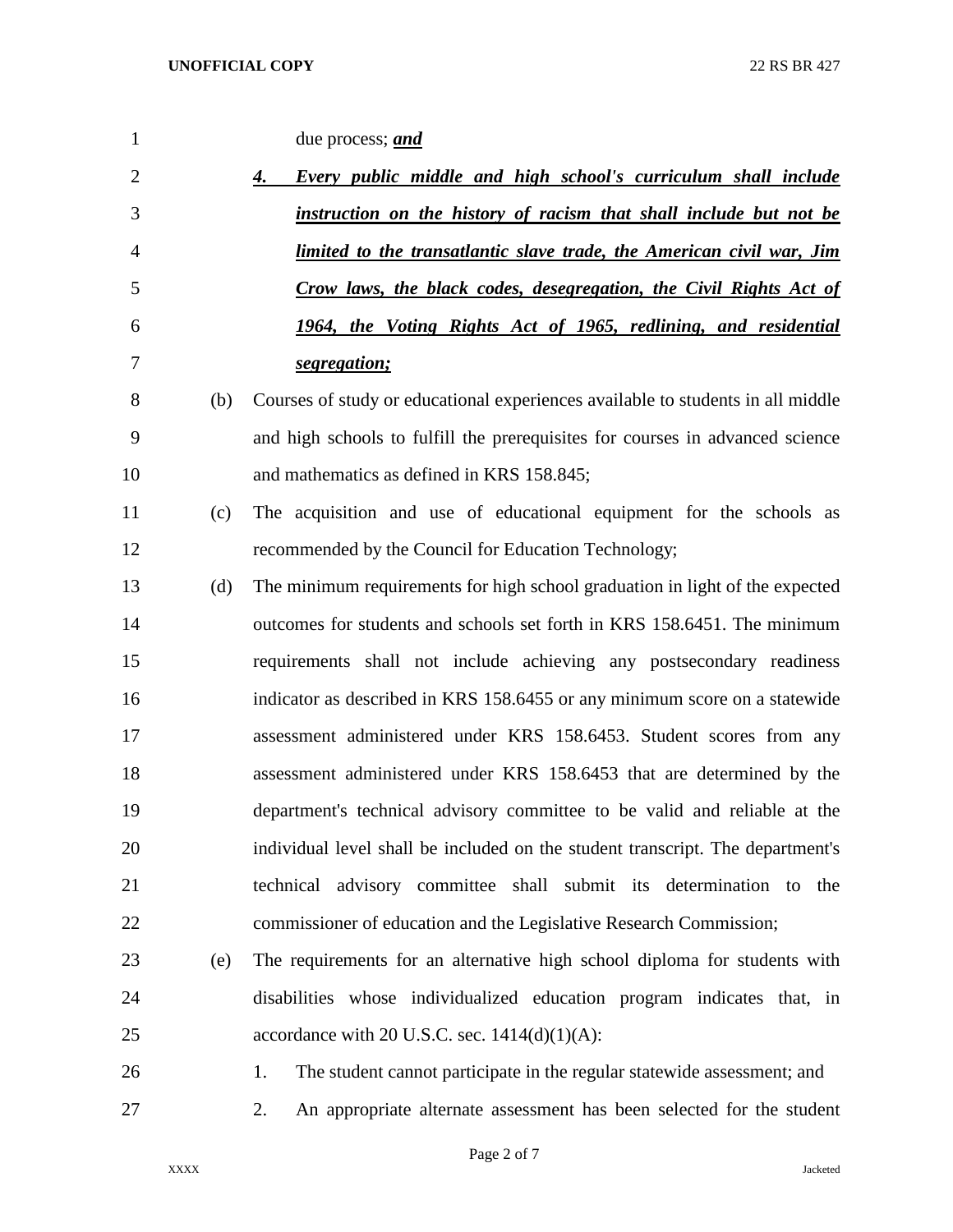| 1              |     | due process; <i>and</i>                                                         |
|----------------|-----|---------------------------------------------------------------------------------|
| $\overline{2}$ |     | <b>Every public middle and high school's curriculum shall include</b><br>4.     |
| 3              |     | instruction on the history of racism that shall include but not be              |
| 4              |     | limited to the transatlantic slave trade, the American civil war, Jim           |
| 5              |     | Crow laws, the black codes, desegregation, the Civil Rights Act of              |
| 6              |     | 1964, the Voting Rights Act of 1965, redlining, and residential                 |
| 7              |     | segregation;                                                                    |
| 8              | (b) | Courses of study or educational experiences available to students in all middle |
| 9              |     | and high schools to fulfill the prerequisites for courses in advanced science   |
| 10             |     | and mathematics as defined in KRS 158.845;                                      |
| 11             | (c) | The acquisition and use of educational equipment for the schools as             |
| 12             |     | recommended by the Council for Education Technology;                            |
| 13             | (d) | The minimum requirements for high school graduation in light of the expected    |
| 14             |     | outcomes for students and schools set forth in KRS 158.6451. The minimum        |
| 15             |     | requirements shall not include achieving any postsecondary readiness            |
| 16             |     | indicator as described in KRS 158.6455 or any minimum score on a statewide      |
| 17             |     | assessment administered under KRS 158.6453. Student scores from any             |
| 18             |     | assessment administered under KRS 158.6453 that are determined by the           |
| 19             |     | department's technical advisory committee to be valid and reliable at the       |
| 20             |     | individual level shall be included on the student transcript. The department's  |
| 21             |     | technical advisory committee shall submit its determination to<br>the           |
| 22             |     | commissioner of education and the Legislative Research Commission;              |
| 23             | (e) | The requirements for an alternative high school diploma for students with       |
| 24             |     | disabilities whose individualized education program indicates that, in          |
| 25             |     | accordance with 20 U.S.C. sec. $1414(d)(1)(A)$ :                                |
| 26             |     | The student cannot participate in the regular statewide assessment; and<br>1.   |
| 27             |     | An appropriate alternate assessment has been selected for the student<br>2.     |

Page 2 of 7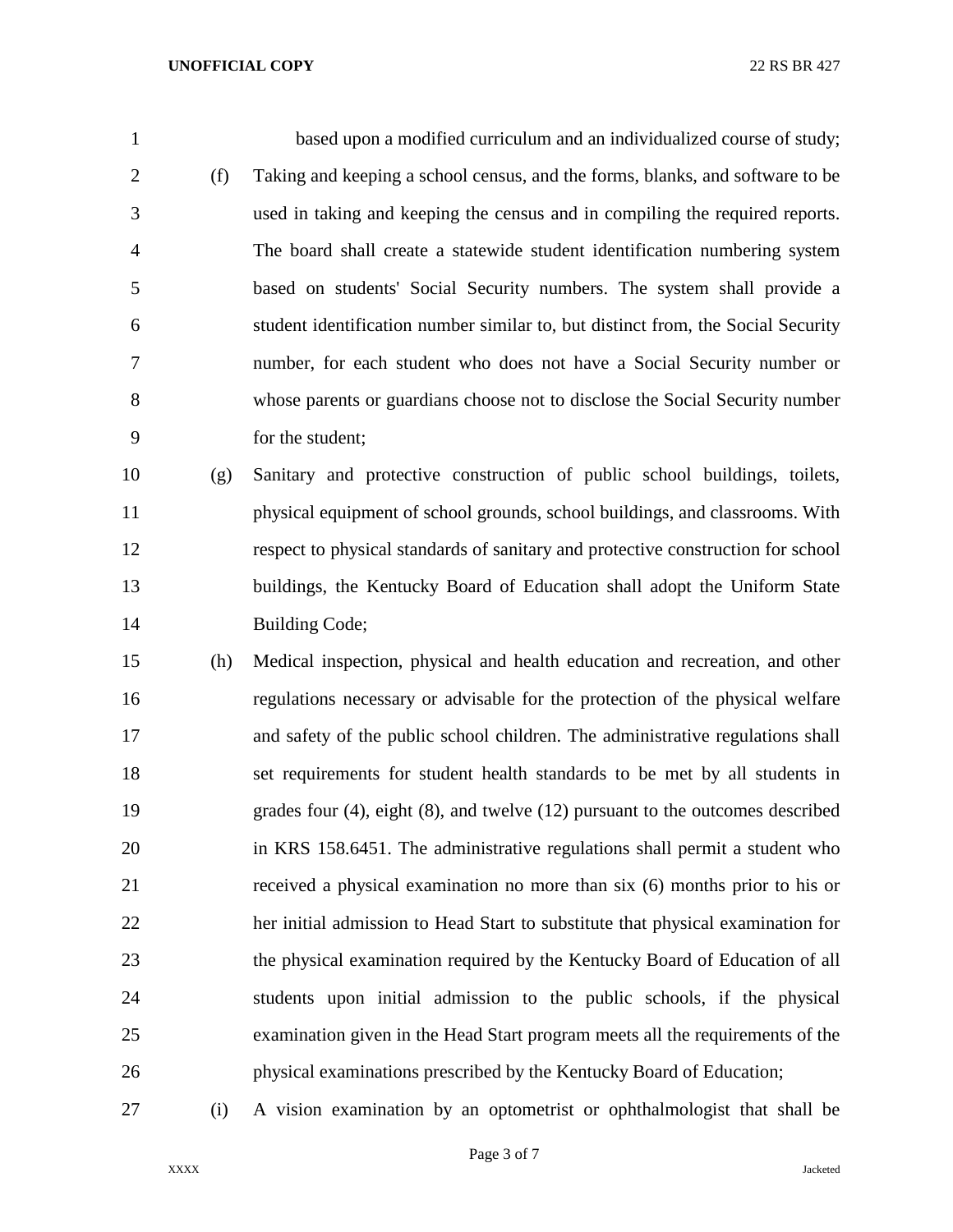based upon a modified curriculum and an individualized course of study; (f) Taking and keeping a school census, and the forms, blanks, and software to be used in taking and keeping the census and in compiling the required reports. The board shall create a statewide student identification numbering system based on students' Social Security numbers. The system shall provide a student identification number similar to, but distinct from, the Social Security number, for each student who does not have a Social Security number or whose parents or guardians choose not to disclose the Social Security number for the student;

 (g) Sanitary and protective construction of public school buildings, toilets, physical equipment of school grounds, school buildings, and classrooms. With respect to physical standards of sanitary and protective construction for school buildings, the Kentucky Board of Education shall adopt the Uniform State 14 Building Code;

 (h) Medical inspection, physical and health education and recreation, and other regulations necessary or advisable for the protection of the physical welfare and safety of the public school children. The administrative regulations shall set requirements for student health standards to be met by all students in grades four (4), eight (8), and twelve (12) pursuant to the outcomes described in KRS 158.6451. The administrative regulations shall permit a student who received a physical examination no more than six (6) months prior to his or her initial admission to Head Start to substitute that physical examination for the physical examination required by the Kentucky Board of Education of all students upon initial admission to the public schools, if the physical examination given in the Head Start program meets all the requirements of the physical examinations prescribed by the Kentucky Board of Education;

(i) A vision examination by an optometrist or ophthalmologist that shall be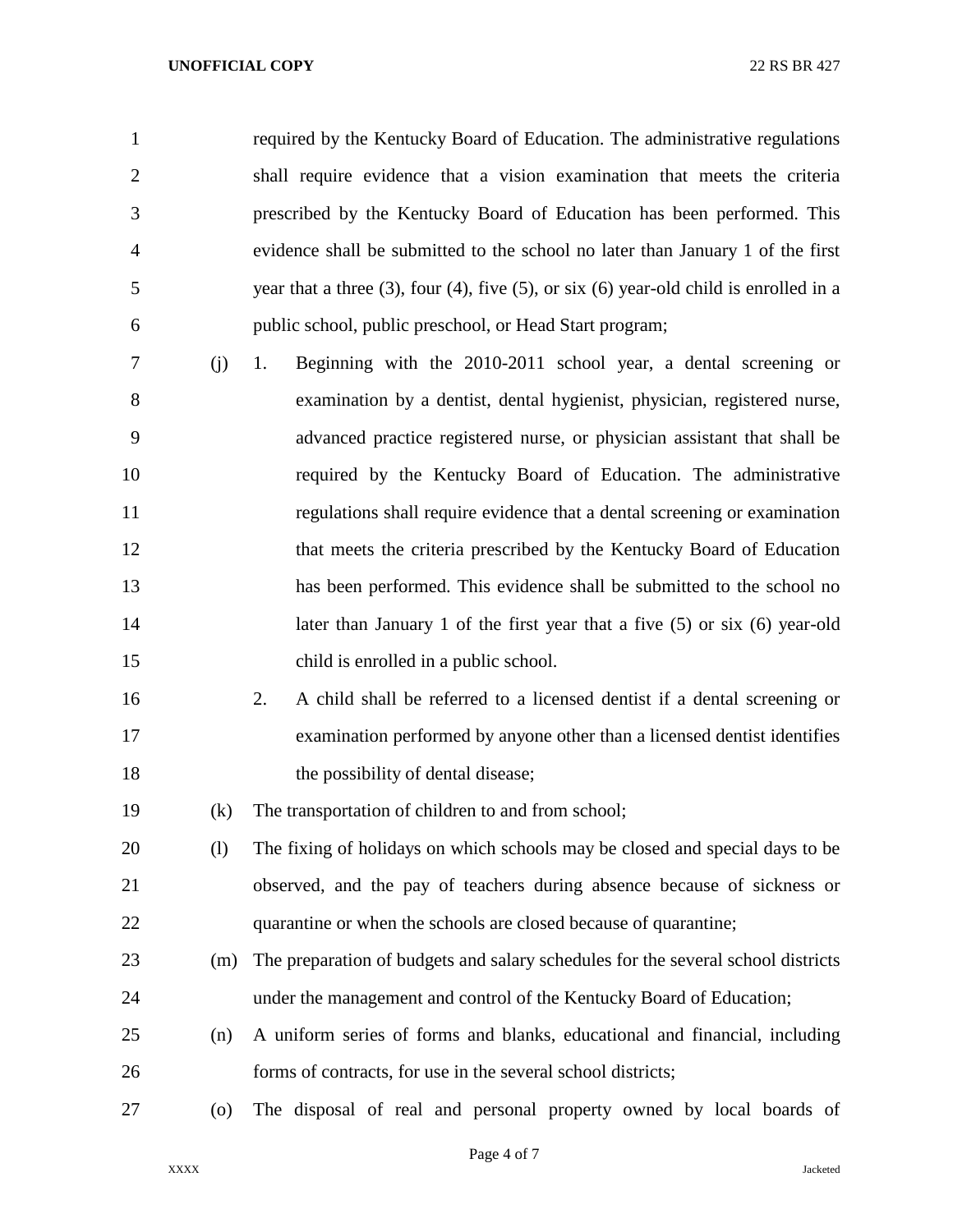## **UNOFFICIAL COPY** 22 RS BR 427

 required by the Kentucky Board of Education. The administrative regulations shall require evidence that a vision examination that meets the criteria prescribed by the Kentucky Board of Education has been performed. This evidence shall be submitted to the school no later than January 1 of the first year that a three (3), four (4), five (5), or six (6) year-old child is enrolled in a public school, public preschool, or Head Start program;

- (j) 1. Beginning with the 2010-2011 school year, a dental screening or examination by a dentist, dental hygienist, physician, registered nurse, advanced practice registered nurse, or physician assistant that shall be required by the Kentucky Board of Education. The administrative regulations shall require evidence that a dental screening or examination that meets the criteria prescribed by the Kentucky Board of Education has been performed. This evidence shall be submitted to the school no 14 later than January 1 of the first year that a five (5) or six (6) year-old child is enrolled in a public school.
- 2. A child shall be referred to a licensed dentist if a dental screening or examination performed by anyone other than a licensed dentist identifies 18 the possibility of dental disease;
- (k) The transportation of children to and from school;
- (l) The fixing of holidays on which schools may be closed and special days to be observed, and the pay of teachers during absence because of sickness or quarantine or when the schools are closed because of quarantine;
- (m) The preparation of budgets and salary schedules for the several school districts under the management and control of the Kentucky Board of Education;
- (n) A uniform series of forms and blanks, educational and financial, including forms of contracts, for use in the several school districts;
- (o) The disposal of real and personal property owned by local boards of
	- Page 4 of 7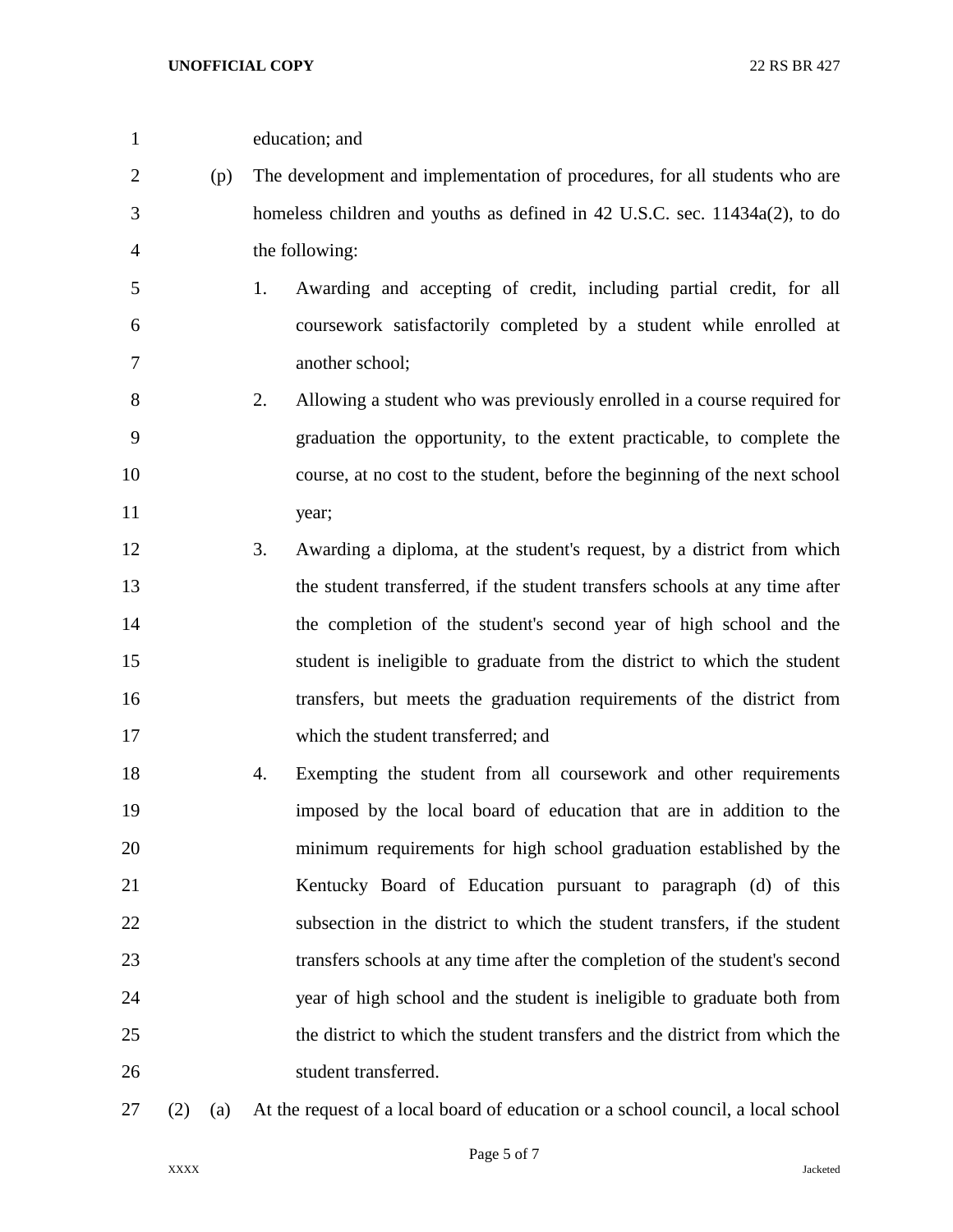- education; and (p) The development and implementation of procedures, for all students who are homeless children and youths as defined in 42 U.S.C. sec. 11434a(2), to do the following: 1. Awarding and accepting of credit, including partial credit, for all coursework satisfactorily completed by a student while enrolled at another school; 2. Allowing a student who was previously enrolled in a course required for graduation the opportunity, to the extent practicable, to complete the course, at no cost to the student, before the beginning of the next school year; 3. Awarding a diploma, at the student's request, by a district from which the student transferred, if the student transfers schools at any time after the completion of the student's second year of high school and the student is ineligible to graduate from the district to which the student transfers, but meets the graduation requirements of the district from which the student transferred; and 4. Exempting the student from all coursework and other requirements imposed by the local board of education that are in addition to the minimum requirements for high school graduation established by the Kentucky Board of Education pursuant to paragraph (d) of this subsection in the district to which the student transfers, if the student transfers schools at any time after the completion of the student's second year of high school and the student is ineligible to graduate both from the district to which the student transfers and the district from which the student transferred.
- 

(2) (a) At the request of a local board of education or a school council, a local school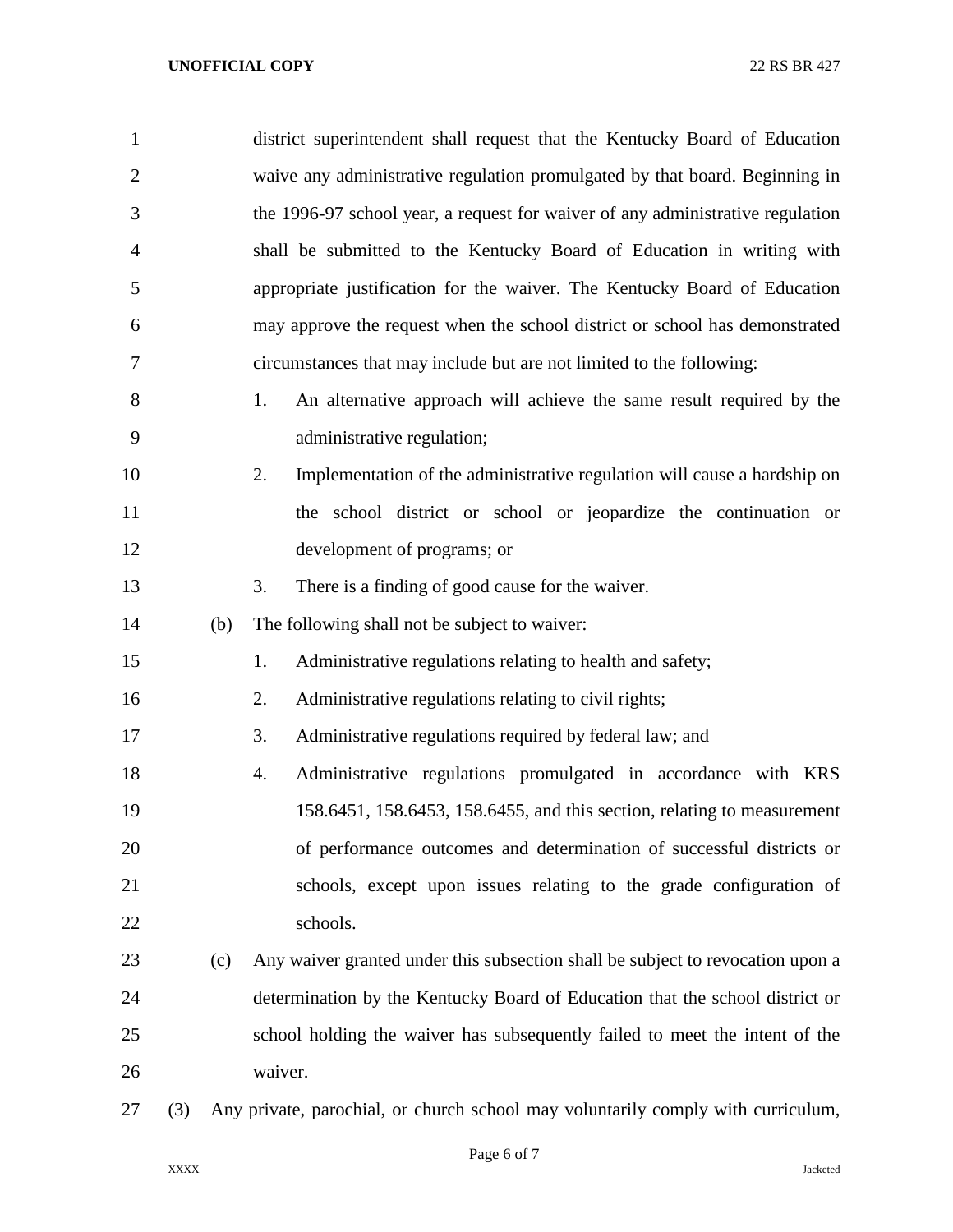| 1              |     |     | district superintendent shall request that the Kentucky Board of Education       |
|----------------|-----|-----|----------------------------------------------------------------------------------|
| $\overline{2}$ |     |     | waive any administrative regulation promulgated by that board. Beginning in      |
| 3              |     |     | the 1996-97 school year, a request for waiver of any administrative regulation   |
| $\overline{4}$ |     |     | shall be submitted to the Kentucky Board of Education in writing with            |
| 5              |     |     | appropriate justification for the waiver. The Kentucky Board of Education        |
| 6              |     |     | may approve the request when the school district or school has demonstrated      |
| 7              |     |     | circumstances that may include but are not limited to the following:             |
| 8              |     |     | An alternative approach will achieve the same result required by the<br>1.       |
| 9              |     |     | administrative regulation;                                                       |
| 10             |     |     | Implementation of the administrative regulation will cause a hardship on<br>2.   |
| 11             |     |     | the school district or school or jeopardize the continuation or                  |
| 12             |     |     | development of programs; or                                                      |
| 13             |     |     | 3.<br>There is a finding of good cause for the waiver.                           |
| 14             |     | (b) | The following shall not be subject to waiver:                                    |
| 15             |     |     | Administrative regulations relating to health and safety;<br>1.                  |
| 16             |     |     | 2.<br>Administrative regulations relating to civil rights;                       |
| 17             |     |     | 3.<br>Administrative regulations required by federal law; and                    |
| 18             |     |     | Administrative regulations promulgated in accordance with KRS<br>4.              |
| 19             |     |     | 158.6451, 158.6453, 158.6455, and this section, relating to measurement          |
| 20             |     |     | of performance outcomes and determination of successful districts or             |
| 21             |     |     | schools, except upon issues relating to the grade configuration of               |
| 22             |     |     | schools.                                                                         |
| 23             |     | (c) | Any waiver granted under this subsection shall be subject to revocation upon a   |
| 24             |     |     | determination by the Kentucky Board of Education that the school district or     |
| 25             |     |     | school holding the waiver has subsequently failed to meet the intent of the      |
| 26             |     |     | waiver.                                                                          |
| 27             | (3) |     | Any private, parochial, or church school may voluntarily comply with curriculum, |